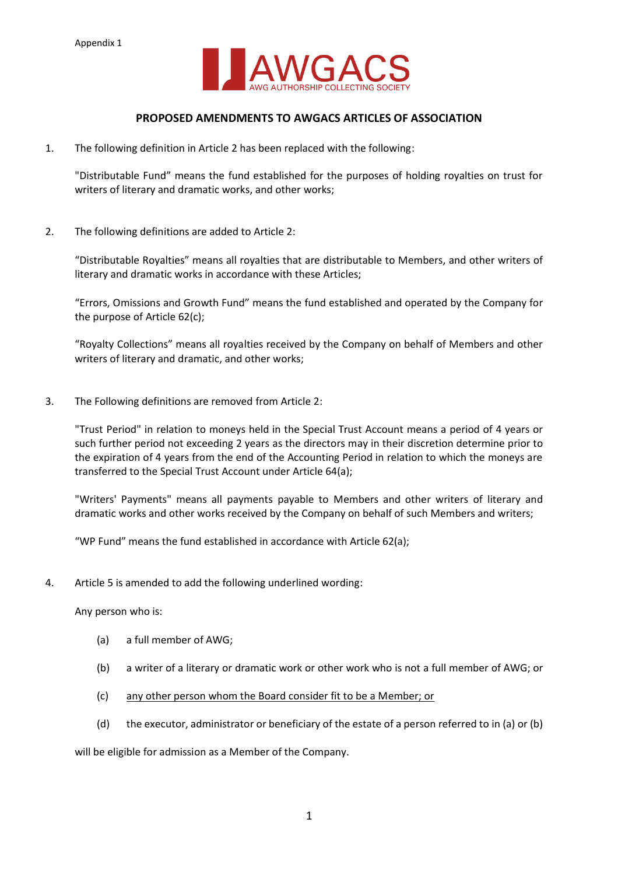

# **PROPOSED AMENDMENTS TO AWGACS ARTICLES OF ASSOCIATION**

1. The following definition in Article 2 has been replaced with the following:

"Distributable Fund" means the fund established for the purposes of holding royalties on trust for writers of literary and dramatic works, and other works;

2. The following definitions are added to Article 2:

"Distributable Royalties" means all royalties that are distributable to Members, and other writers of literary and dramatic works in accordance with these Articles;

"Errors, Omissions and Growth Fund" means the fund established and operated by the Company for the purpose of Article 62(c);

"Royalty Collections" means all royalties received by the Company on behalf of Members and other writers of literary and dramatic, and other works;

3. The Following definitions are removed from Article 2:

"Trust Period" in relation to moneys held in the Special Trust Account means a period of 4 years or such further period not exceeding 2 years as the directors may in their discretion determine prior to the expiration of 4 years from the end of the Accounting Period in relation to which the moneys are transferred to the Special Trust Account under Article 64(a);

"Writers' Payments" means all payments payable to Members and other writers of literary and dramatic works and other works received by the Company on behalf of such Members and writers;

"WP Fund" means the fund established in accordance with Article 62(a);

4. Article 5 is amended to add the following underlined wording:

Any person who is:

- (a) a full member of AWG;
- (b) a writer of a literary or dramatic work or other work who is not a full member of AWG; or
- (c) any other person whom the Board consider fit to be a Member; or
- (d) the executor, administrator or beneficiary of the estate of a person referred to in (a) or (b)

will be eligible for admission as a Member of the Company.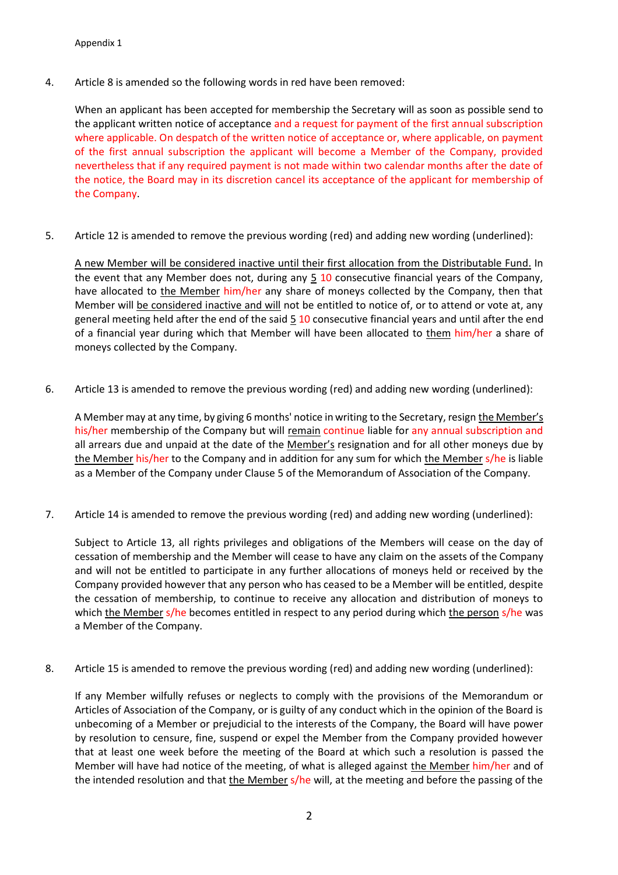### Appendix 1

4. Article 8 is amended so the following words in red have been removed:

When an applicant has been accepted for membership the Secretary will as soon as possible send to the applicant written notice of acceptance and a request for payment of the first annual subscription where applicable. On despatch of the written notice of acceptance or, where applicable, on payment of the first annual subscription the applicant will become a Member of the Company, provided nevertheless that if any required payment is not made within two calendar months after the date of the notice, the Board may in its discretion cancel its acceptance of the applicant for membership of the Company.

5. Article 12 is amended to remove the previous wording (red) and adding new wording (underlined):

A new Member will be considered inactive until their first allocation from the Distributable Fund. In the event that any Member does not, during any  $5$  10 consecutive financial years of the Company, have allocated to the Member him/her any share of moneys collected by the Company, then that Member will be considered inactive and will not be entitled to notice of, or to attend or vote at, any general meeting held after the end of the said  $5\overline{10}$  consecutive financial years and until after the end of a financial year during which that Member will have been allocated to them him/her a share of moneys collected by the Company.

6. Article 13 is amended to remove the previous wording (red) and adding new wording (underlined):

A Member may at any time, by giving 6 months' notice in writing to the Secretary, resign the Member's his/her membership of the Company but will remain continue liable for any annual subscription and all arrears due and unpaid at the date of the Member's resignation and for all other moneys due by the Member his/her to the Company and in addition for any sum for which the Member s/he is liable as a Member of the Company under Clause 5 of the Memorandum of Association of the Company.

7. Article 14 is amended to remove the previous wording (red) and adding new wording (underlined):

Subject to Article 13, all rights privileges and obligations of the Members will cease on the day of cessation of membership and the Member will cease to have any claim on the assets of the Company and will not be entitled to participate in any further allocations of moneys held or received by the Company provided however that any person who has ceased to be a Member will be entitled, despite the cessation of membership, to continue to receive any allocation and distribution of moneys to which the Member s/he becomes entitled in respect to any period during which the person s/he was a Member of the Company.

8. Article 15 is amended to remove the previous wording (red) and adding new wording (underlined):

If any Member wilfully refuses or neglects to comply with the provisions of the Memorandum or Articles of Association of the Company, or is guilty of any conduct which in the opinion of the Board is unbecoming of a Member or prejudicial to the interests of the Company, the Board will have power by resolution to censure, fine, suspend or expel the Member from the Company provided however that at least one week before the meeting of the Board at which such a resolution is passed the Member will have had notice of the meeting, of what is alleged against the Member him/her and of the intended resolution and that the Member s/he will, at the meeting and before the passing of the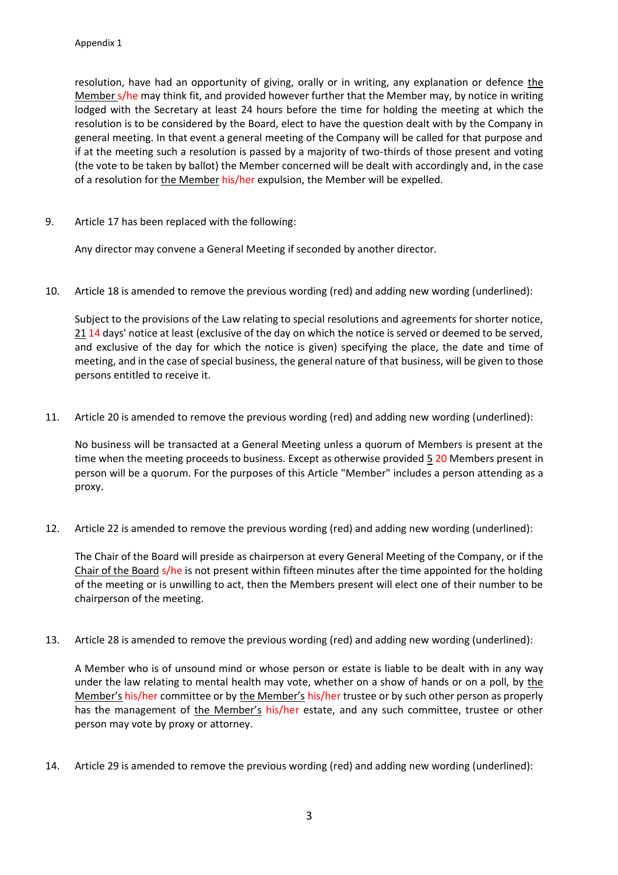resolution, have had an opportunity of giving, orally or in writing, any explanation or defence the Member s/he may think fit, and provided however further that the Member may, by notice in writing lodged with the Secretary at least 24 hours before the time for holding the meeting at which the resolution is to be considered by the Board, elect to have the question dealt with by the Company in general meeting. In that event a general meeting of the Company will be called for that purpose and if at the meeting such a resolution is passed by a majority of two-thirds of those present and voting (the vote to be taken by ballot) the Member concerned will be dealt with accordingly and, in the case of a resolution for the Member his/her expulsion, the Member will be expelled.

9. Article 17 has been replaced with the following:

Any director may convene a General Meeting if seconded by another director.

10. Article 18 is amended to remove the previous wording (red) and adding new wording (underlined):

Subject to the provisions of the Law relating to special resolutions and agreements for shorter notice, 21 14 days' notice at least (exclusive of the day on which the notice is served or deemed to be served, and exclusive of the day for which the notice is given) specifying the place, the date and time of meeting, and in the case of special business, the general nature of that business, will be given to those persons entitled to receive it.

11. Article 20 is amended to remove the previous wording (red) and adding new wording (underlined):

No business will be transacted at a General Meeting unless a quorum of Members is present at the time when the meeting proceeds to business. Except as otherwise provided  $\frac{5}{2}$  20 Members present in person will be a quorum. For the purposes of this Article "Member" includes a person attending as a proxy.

12. Article 22 is amended to remove the previous wording (red) and adding new wording (underlined):

The Chair of the Board will preside as chairperson at every General Meeting of the Company, or if the Chair of the Board s/he is not present within fifteen minutes after the time appointed for the holding of the meeting or is unwilling to act, then the Members present will elect one of their number to be chairperson of the meeting.

13. Article 28 is amended to remove the previous wording (red) and adding new wording (underlined):

A Member who is of unsound mind or whose person or estate is liable to be dealt with in any way under the law relating to mental health may vote, whether on a show of hands or on a poll, by the Member's his/her committee or by the Member's his/her trustee or by such other person as properly has the management of the Member's his/her estate, and any such committee, trustee or other person may vote by proxy or attorney.

14. Article 29 is amended to remove the previous wording (red) and adding new wording (underlined):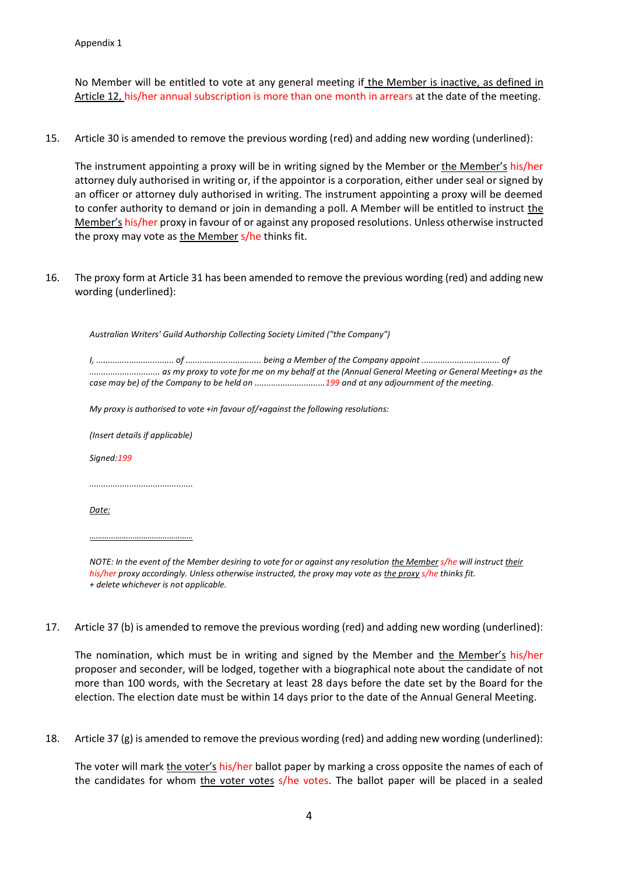No Member will be entitled to vote at any general meeting if the Member is inactive, as defined in Article 12, his/her annual subscription is more than one month in arrears at the date of the meeting.

15. Article 30 is amended to remove the previous wording (red) and adding new wording (underlined):

The instrument appointing a proxy will be in writing signed by the Member or the Member's his/her attorney duly authorised in writing or, if the appointor is a corporation, either under seal or signed by an officer or attorney duly authorised in writing. The instrument appointing a proxy will be deemed to confer authority to demand or join in demanding a poll. A Member will be entitled to instruct the Member's his/her proxy in favour of or against any proposed resolutions. Unless otherwise instructed the proxy may vote as the Member s/he thinks fit.

16. The proxy form at Article 31 has been amended to remove the previous wording (red) and adding new wording (underlined):

*Australian Writers' Guild Authorship Collecting Society Limited ("the Company")* 

*I, ................................. of ................................ being a Member of the Company appoint ................................. of .............................. as my proxy to vote for me on my behalf at the (Annual General Meeting or General Meeting+ as the case may be) of the Company to be held on ..............................199 and at any adjournment of the meeting.* 

*My proxy is authorised to vote +in favour of/+against the following resolutions:* 

*(Insert details if applicable)*

*Signed:199*

*............................................* 

*Date:*

*…………………………………………*

*NOTE: In the event of the Member desiring to vote for or against any resolution the Member s/he will instruct their his/her proxy accordingly. Unless otherwise instructed, the proxy may vote as the proxy s/he thinks fit. + delete whichever is not applicable.* 

17. Article 37 (b) is amended to remove the previous wording (red) and adding new wording (underlined):

The nomination, which must be in writing and signed by the Member and the Member's his/her proposer and seconder, will be lodged, together with a biographical note about the candidate of not more than 100 words, with the Secretary at least 28 days before the date set by the Board for the election. The election date must be within 14 days prior to the date of the Annual General Meeting.

18. Article 37 (g) is amended to remove the previous wording (red) and adding new wording (underlined):

The voter will mark the voter's his/her ballot paper by marking a cross opposite the names of each of the candidates for whom the voter votes s/he votes. The ballot paper will be placed in a sealed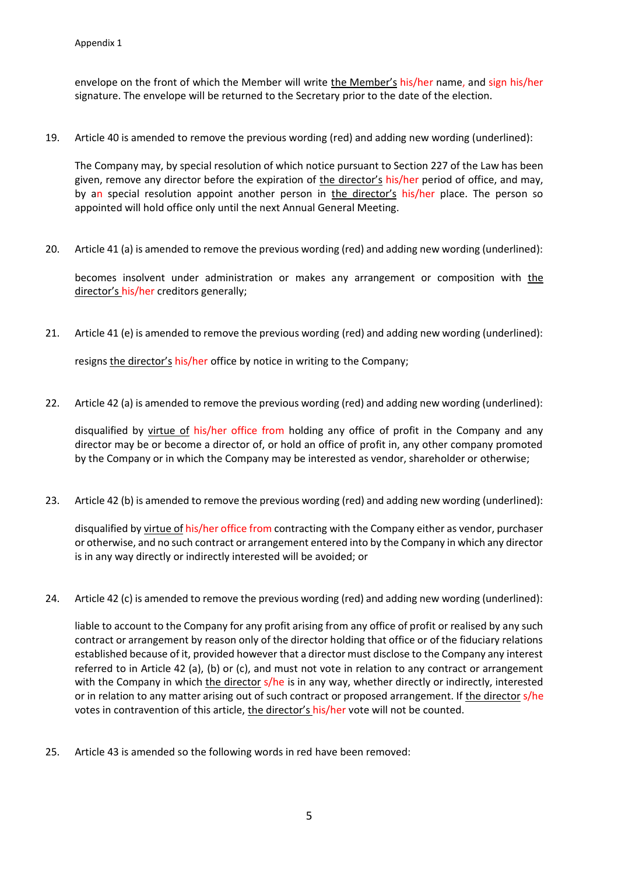envelope on the front of which the Member will write the Member's his/her name, and sign his/her signature. The envelope will be returned to the Secretary prior to the date of the election.

19. Article 40 is amended to remove the previous wording (red) and adding new wording (underlined):

The Company may, by special resolution of which notice pursuant to Section 227 of the Law has been given, remove any director before the expiration of the director's his/her period of office, and may, by an special resolution appoint another person in the director's his/her place. The person so appointed will hold office only until the next Annual General Meeting.

20. Article 41 (a) is amended to remove the previous wording (red) and adding new wording (underlined):

becomes insolvent under administration or makes any arrangement or composition with the director's his/her creditors generally;

21. Article 41 (e) is amended to remove the previous wording (red) and adding new wording (underlined):

resigns the director's his/her office by notice in writing to the Company;

22. Article 42 (a) is amended to remove the previous wording (red) and adding new wording (underlined):

disqualified by virtue of his/her office from holding any office of profit in the Company and any director may be or become a director of, or hold an office of profit in, any other company promoted by the Company or in which the Company may be interested as vendor, shareholder or otherwise;

23. Article 42 (b) is amended to remove the previous wording (red) and adding new wording (underlined):

disqualified by virtue of his/her office from contracting with the Company either as vendor, purchaser or otherwise, and no such contract or arrangement entered into by the Company in which any director is in any way directly or indirectly interested will be avoided; or

24. Article 42 (c) is amended to remove the previous wording (red) and adding new wording (underlined):

liable to account to the Company for any profit arising from any office of profit or realised by any such contract or arrangement by reason only of the director holding that office or of the fiduciary relations established because of it, provided however that a director must disclose to the Company any interest referred to in Article 42 (a), (b) or (c), and must not vote in relation to any contract or arrangement with the Company in which the director s/he is in any way, whether directly or indirectly, interested or in relation to any matter arising out of such contract or proposed arrangement. If the director s/he votes in contravention of this article, the director's his/her vote will not be counted.

25. Article 43 is amended so the following words in red have been removed: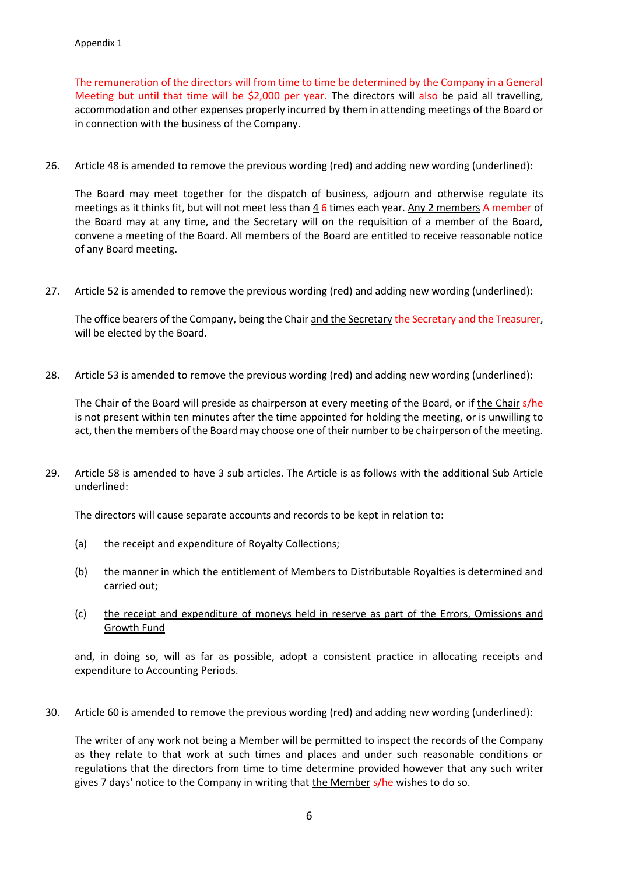The remuneration of the directors will from time to time be determined by the Company in a General Meeting but until that time will be \$2,000 per year. The directors will also be paid all travelling, accommodation and other expenses properly incurred by them in attending meetings of the Board or in connection with the business of the Company.

26. Article 48 is amended to remove the previous wording (red) and adding new wording (underlined):

The Board may meet together for the dispatch of business, adjourn and otherwise regulate its meetings as it thinks fit, but will not meet less than 4 6 times each year. Any 2 members A member of the Board may at any time, and the Secretary will on the requisition of a member of the Board, convene a meeting of the Board. All members of the Board are entitled to receive reasonable notice of any Board meeting.

27. Article 52 is amended to remove the previous wording (red) and adding new wording (underlined):

The office bearers of the Company, being the Chair and the Secretary the Secretary and the Treasurer, will be elected by the Board.

28. Article 53 is amended to remove the previous wording (red) and adding new wording (underlined):

The Chair of the Board will preside as chairperson at every meeting of the Board, or if the Chair s/he is not present within ten minutes after the time appointed for holding the meeting, or is unwilling to act, then the members of the Board may choose one of their number to be chairperson of the meeting.

29. Article 58 is amended to have 3 sub articles. The Article is as follows with the additional Sub Article underlined:

The directors will cause separate accounts and records to be kept in relation to:

- (a) the receipt and expenditure of Royalty Collections;
- (b) the manner in which the entitlement of Members to Distributable Royalties is determined and carried out;
- (c) the receipt and expenditure of moneys held in reserve as part of the Errors, Omissions and Growth Fund

and, in doing so, will as far as possible, adopt a consistent practice in allocating receipts and expenditure to Accounting Periods.

30. Article 60 is amended to remove the previous wording (red) and adding new wording (underlined):

The writer of any work not being a Member will be permitted to inspect the records of the Company as they relate to that work at such times and places and under such reasonable conditions or regulations that the directors from time to time determine provided however that any such writer gives 7 days' notice to the Company in writing that the Member s/he wishes to do so.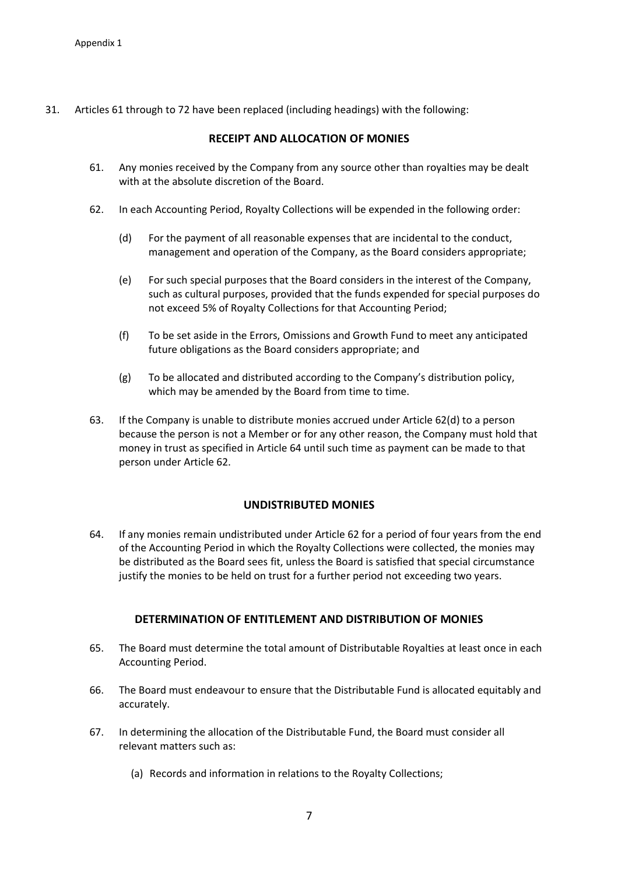31. Articles 61 through to 72 have been replaced (including headings) with the following:

# **RECEIPT AND ALLOCATION OF MONIES**

- 61. Any monies received by the Company from any source other than royalties may be dealt with at the absolute discretion of the Board.
- 62. In each Accounting Period, Royalty Collections will be expended in the following order:
	- (d) For the payment of all reasonable expenses that are incidental to the conduct, management and operation of the Company, as the Board considers appropriate;
	- (e) For such special purposes that the Board considers in the interest of the Company, such as cultural purposes, provided that the funds expended for special purposes do not exceed 5% of Royalty Collections for that Accounting Period;
	- (f) To be set aside in the Errors, Omissions and Growth Fund to meet any anticipated future obligations as the Board considers appropriate; and
	- (g) To be allocated and distributed according to the Company's distribution policy, which may be amended by the Board from time to time.
- 63. If the Company is unable to distribute monies accrued under Article 62(d) to a person because the person is not a Member or for any other reason, the Company must hold that money in trust as specified in Article 64 until such time as payment can be made to that person under Article 62.

# **UNDISTRIBUTED MONIES**

64. If any monies remain undistributed under Article 62 for a period of four years from the end of the Accounting Period in which the Royalty Collections were collected, the monies may be distributed as the Board sees fit, unless the Board is satisfied that special circumstance justify the monies to be held on trust for a further period not exceeding two years.

# **DETERMINATION OF ENTITLEMENT AND DISTRIBUTION OF MONIES**

- 65. The Board must determine the total amount of Distributable Royalties at least once in each Accounting Period.
- 66. The Board must endeavour to ensure that the Distributable Fund is allocated equitably and accurately.
- 67. In determining the allocation of the Distributable Fund, the Board must consider all relevant matters such as:
	- (a) Records and information in relations to the Royalty Collections;